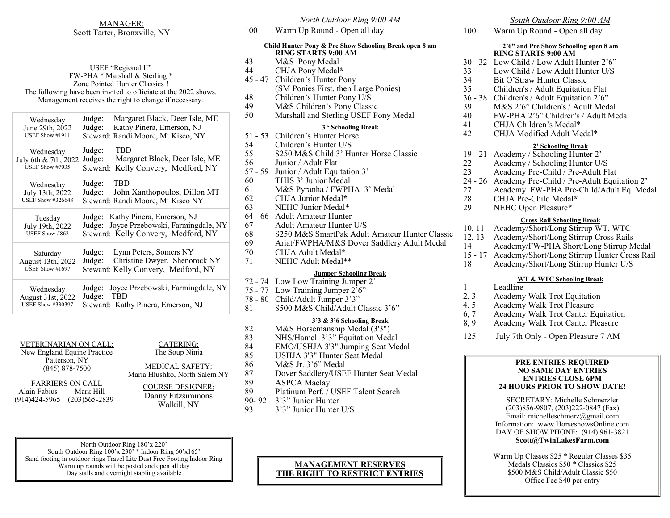### MANAGER: Scott Tarter, Bronxville, NY

| USEF "Regional II"<br>FW-PHA * Marshall & Sterling *<br>Zone Pointed Hunter Classics!<br>The following have been invited to officiate at the 2022 shows.<br>Management receives the right to change if necessary. |                                                                                                                           |
|-------------------------------------------------------------------------------------------------------------------------------------------------------------------------------------------------------------------|---------------------------------------------------------------------------------------------------------------------------|
| Wednesday<br>June 29th, 2022<br>USEF Show #1911                                                                                                                                                                   | Margaret Black, Deer Isle, ME<br>Judge:<br>Kathy Pinera, Emerson, NJ<br>Judge:<br>Steward: Randi Moore, Mt Kisco, NY      |
| Wednesday<br>July 6th & 7th, 2022<br>USEF Show #7035                                                                                                                                                              | Judge:<br>TBD<br>Judge:<br>Margaret Black, Deer Isle, ME<br>Kelly Convery, Medford, NY<br>Steward:                        |
| Wednesday<br>July 13th, 2022<br><b>USEF Show #326648</b>                                                                                                                                                          | Judge:<br><b>TRD</b><br>John Xanthopoulos, Dillon MT<br>Judge:<br>Steward: Randi Moore, Mt Kisco NY                       |
| Tuesday<br>July 19th, 2022<br>USEF Show #862                                                                                                                                                                      | Kathy Pinera, Emerson, NJ<br>Judge:<br>Joyce Przebowski, Farmingdale, NY<br>Judge:<br>Steward: Kelly Convery, Medford, NY |
| Saturday<br>August 13th, 2022<br>USEF Show #1697                                                                                                                                                                  | Judge:<br>Lynn Peters, Somers NY<br>Christine Dwyer, Shenorock NY<br>Judge:<br>Steward: Kelly Convery, Medford, NY        |
| Wednesday<br>August 31st, 2022<br><b>USEF Show #330397</b>                                                                                                                                                        | Joyce Przebowski, Farmingdale, NY<br>Judge:<br>Judge:<br>TBD<br>Steward: Kathy Pinera, Emerson, NJ                        |

VETERINARIAN ON CALL: New England Equine Practice

Patterson, NY (845) 878-7500

FARRIERS ON CALL Alain Fabius Mark Hill (914)424-5965 (203)565-2839

CATERING: The Soup Ninja MEDICAL SAFETY: Maria Hlushko, North Salem NY COURSE DESIGNER: Danny Fitzsimmons

North Outdoor Ring 180'x 220' South Outdoor Ring 100'x 230' \* Indoor Ring 60'x165' Sand footing in outdoor rings Travel Lite Dust Free Footing Indoor Ring Warm up rounds will be posted and open all day Day stalls and overnight stabling available.

### *North Outdoor Ring 9:00 AM* 100 Warm Up Round - Open all day **Child Hunter Pony & Pre Show Schooling Break open 8 am RING STARTS 9:00 AM** 43 M&S Pony Medal 44 CHJA Pony Medal**\*** 45 - 47 Children's Hunter Pony (SM Ponies First, then Large Ponies) 48 Children's Hunter Pony U/S<br>49 M&S Children's Pony Classi M&S Children's Pony Classic 50 Marshall and Sterling USEF Pony Medal **3 ' Schooling Break** 51 - 53 Children's Hunter Horse 54 Children's Hunter U/S 55 \$250 M&S Child 3' Hunter Horse Classic<br>56 Junior / Adult Flat Junior / Adult Flat 57 - 59 Junior / Adult Equitation 3' 60 THIS 3' Junior Medal 61 M&S Pyranha / FWPHA 3' Medal

- 62 CHJA Junior Medal**\***
- 63 NEHC Junior Medal\*
- 64 66 Adult Amateur Hunter
- 67 Adult Amateur Hunter U/S
- 68 \$250 M&S SmartPak Adult Amateur Hunter Classic
- 69 Ariat/FWPHA/M&S Dover Saddlery Adult Medal
- 70 CHJA Adult Medal**\***
- 71 NEHC Adult Medal\*\*

### **Jumper Schooling Break**

- 72 74 Low Low Training Jumper 2'
- 75 77 Low Training Jumper 2'6"
- 78 80 Child/Adult Jumper 3'3"
- 81 \$500 M&S Child/Adult Classic 3'6"

### **3'3 & 3'6 Schooling Break**

- 82 M&S Horsemanship Medal (3'3")
	-
	-
	- USHJA 3'3" Hunter Seat Medal
	-
- 87 Dover Saddlery/USEF Hunter Seat Medal
- 89 Platinum Perf. / USEF Talent Search
- 93 3'3" Junior Hunter U/S

### **MANAGEMENT RESERVES THE RIGHT TO RESTRICT ENTRIES**

### *South Outdoor Ring 9:00 AM*

100 Warm Up Round - Open all day

### **2'6" and Pre Show Schooling open 8 am RING STARTS 9:00 AM**

- 30 32 Low Child / Low Adult Hunter 2'6"
- 33 Low Child / Low Adult Hunter U/S<br>34 Bit O'Straw Hunter Classic
- Bit O'Straw Hunter Classic
- 35 Children's / Adult Equitation Flat
- 36 38 Children's / Adult Equitation 2'6"
- 39 M&S 2'6" Children's / Adult Medal
- 40 FW-PHA 2'6" Children's / Adult Medal
- 41 CHJA Children's Medal\*
- 42 CHJA Modified Adult Medal\*

### **2' Schooling Break**

- 19 21 Academy / Schooling Hunter 2'
- 22 Academy / Schooling Hunter U/S
- 23 Academy Pre-Child / Pre-Adult Flat
- 24 26 Academy Pre-Child / Pre-Adult Equitation 2'
- 27 Academy FW-PHA Pre-Child/Adult Eq. Medal
- 28 CHJA Pre-Child Medal**\***
- 29 NEHC Open Pleasure\*

### **Cross Rail Schooling Break**

- 10, 11 Academy/Short/Long Stirrup WT, WTC
- 12, 13 Academy/Short/Long Stirrup Cross Rails
- 14 Academy/FW-PHA Short/Long Stirrup Medal
- 15 17 Academy/Short/Long Stirrup Hunter Cross Rail
- 18 Academy/Short/Long Stirrup Hunter U/S

### **WT & WTC Schooling Break**

- 1 Leadline
- 2, 3 Academy Walk Trot Equitation
- 4, 5 Academy Walk Trot Pleasure
- 6, 7 Academy Walk Trot Canter Equitation
- 8, 9 Academy Walk Trot Canter Pleasure
- 125 July 7th Only Open Pleasure 7 AM

### **PRE ENTRIES REQUIRED NO SAME DAY ENTRIES ENTRIES CLOSE 6PM 24 HOURS PRIOR TO SHOW DATE!**

SECRETARY: Michelle Schmerzler (203)856-9807, (203)222-0847 (Fax) Email: michelleschmerz@gmail.com Information: www.HorseshowsOnline.com DAY OF SHOW PHONE: (914) 961-3821 **Scott@TwinLakesFarm.com**

Warm Up Classes \$25 \* Regular Classes \$35 Medals Classics \$50 \* Classics \$25 \$500 M&S Child/Adult Classic \$50 Office Fee \$40 per entry

- 83 NHS/Hamel 3'3" Equitation Medal<br>84 EMO/USHJA 3'3" Jumping Seat Me 84 EMO/USHJA 3'3" Jumping Seat Medal<br>85 USHJA 3'3" Hunter Seat Medal 86 M&S Jr. 3'6" Medal 89 ASPCA Maclay 90- 92 3'3" Junior Hunter
	-

# Walkill, NY